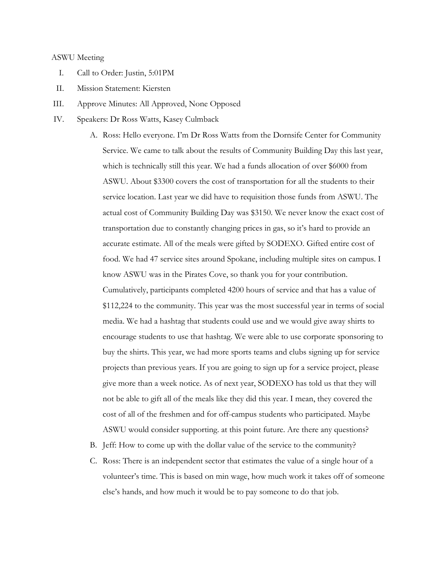## ASWU Meeting

- I. Call to Order: Justin, 5:01PM
- II. Mission Statement: Kiersten
- III. Approve Minutes: All Approved, None Opposed
- IV. Speakers: Dr Ross Watts, Kasey Culmback
	- A. Ross: Hello everyone. I'm Dr Ross Watts from the Dornsife Center for Community Service. We came to talk about the results of Community Building Day this last year, which is technically still this year. We had a funds allocation of over \$6000 from ASWU. About \$3300 covers the cost of transportation for all the students to their service location. Last year we did have to requisition those funds from ASWU. The actual cost of Community Building Day was \$3150. We never know the exact cost of transportation due to constantly changing prices in gas, so it's hard to provide an accurate estimate. All of the meals were gifted by SODEXO. Gifted entire cost of food. We had 47 service sites around Spokane, including multiple sites on campus. I know ASWU was in the Pirates Cove, so thank you for your contribution. Cumulatively, participants completed 4200 hours of service and that has a value of \$112,224 to the community. This year was the most successful year in terms of social media. We had a hashtag that students could use and we would give away shirts to encourage students to use that hashtag. We were able to use corporate sponsoring to buy the shirts. This year, we had more sports teams and clubs signing up for service projects than previous years. If you are going to sign up for a service project, please give more than a week notice. As of next year, SODEXO has told us that they will not be able to gift all of the meals like they did this year. I mean, they covered the cost of all of the freshmen and for off-campus students who participated. Maybe ASWU would consider supporting. at this point future. Are there any questions?
	- B. Jeff: How to come up with the dollar value of the service to the community?
	- C. Ross: There is an independent sector that estimates the value of a single hour of a volunteer's time. This is based on min wage, how much work it takes off of someone else's hands, and how much it would be to pay someone to do that job.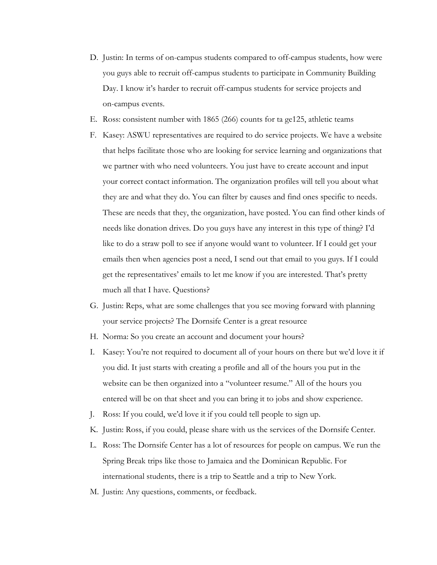- D. Justin: In terms of on-campus students compared to off-campus students, how were you guys able to recruit off-campus students to participate in Community Building Day. I know it's harder to recruit off-campus students for service projects and on-campus events.
- E. Ross: consistent number with 1865 (266) counts for ta ge125, athletic teams
- F. Kasey: ASWU representatives are required to do service projects. We have a website that helps facilitate those who are looking for service learning and organizations that we partner with who need volunteers. You just have to create account and input your correct contact information. The organization profiles will tell you about what they are and what they do. You can filter by causes and find ones specific to needs. These are needs that they, the organization, have posted. You can find other kinds of needs like donation drives. Do you guys have any interest in this type of thing? I'd like to do a straw poll to see if anyone would want to volunteer. If I could get your emails then when agencies post a need, I send out that email to you guys. If I could get the representatives' emails to let me know if you are interested. That's pretty much all that I have. Questions?
- G. Justin: Reps, what are some challenges that you see moving forward with planning your service projects? The Dornsife Center is a great resource
- H. Norma: So you create an account and document your hours?
- I. Kasey: You're not required to document all of your hours on there but we'd love it if you did. It just starts with creating a profile and all of the hours you put in the website can be then organized into a "volunteer resume." All of the hours you entered will be on that sheet and you can bring it to jobs and show experience.
- J. Ross: If you could, we'd love it if you could tell people to sign up.
- K. Justin: Ross, if you could, please share with us the services of the Dornsife Center.
- L. Ross: The Dornsife Center has a lot of resources for people on campus. We run the Spring Break trips like those to Jamaica and the Dominican Republic. For international students, there is a trip to Seattle and a trip to New York.
- M. Justin: Any questions, comments, or feedback.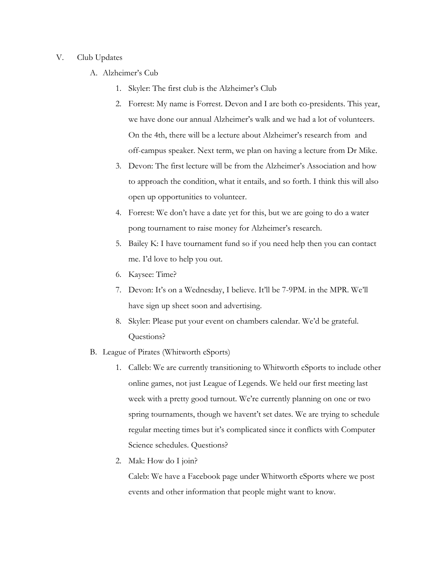## V. Club Updates

- A. Alzheimer's Cub
	- 1. Skyler: The first club is the Alzheimer's Club
	- 2. Forrest: My name is Forrest. Devon and I are both co-presidents. This year, we have done our annual Alzheimer's walk and we had a lot of volunteers. On the 4th, there will be a lecture about Alzheimer's research from and off-campus speaker. Next term, we plan on having a lecture from Dr Mike.
	- 3. Devon: The first lecture will be from the Alzheimer's Association and how to approach the condition, what it entails, and so forth. I think this will also open up opportunities to volunteer.
	- 4. Forrest: We don't have a date yet for this, but we are going to do a water pong tournament to raise money for Alzheimer's research.
	- 5. Bailey K: I have tournament fund so if you need help then you can contact me. I'd love to help you out.
	- 6. Kaysee: Time?
	- 7. Devon: It's on a Wednesday, I believe. It'll be 7-9PM. in the MPR. We'll have sign up sheet soon and advertising.
	- 8. Skyler: Please put your event on chambers calendar. We'd be grateful. Questions?
- B. League of Pirates (Whitworth eSports)
	- 1. Calleb: We are currently transitioning to Whitworth eSports to include other online games, not just League of Legends. We held our first meeting last week with a pretty good turnout. We're currently planning on one or two spring tournaments, though we havent't set dates. We are trying to schedule regular meeting times but it's complicated since it conflicts with Computer Science schedules. Questions?
	- 2. Mak: How do I join?

Caleb: We have a Facebook page under Whitworth eSports where we post events and other information that people might want to know.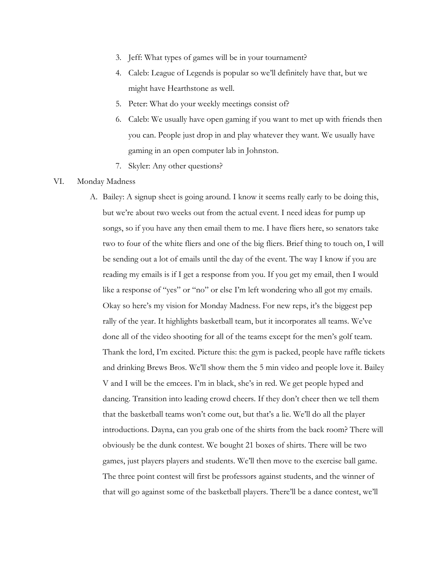- 3. Jeff: What types of games will be in your tournament?
- 4. Caleb: League of Legends is popular so we'll definitely have that, but we might have Hearthstone as well.
- 5. Peter: What do your weekly meetings consist of?
- 6. Caleb: We usually have open gaming if you want to met up with friends then you can. People just drop in and play whatever they want. We usually have gaming in an open computer lab in Johnston.
- 7. Skyler: Any other questions?

## VI. Monday Madness

A. Bailey: A signup sheet is going around. I know it seems really early to be doing this, but we're about two weeks out from the actual event. I need ideas for pump up songs, so if you have any then email them to me. I have fliers here, so senators take two to four of the white fliers and one of the big fliers. Brief thing to touch on, I will be sending out a lot of emails until the day of the event. The way I know if you are reading my emails is if I get a response from you. If you get my email, then I would like a response of "yes" or "no" or else I'm left wondering who all got my emails. Okay so here's my vision for Monday Madness. For new reps, it's the biggest pep rally of the year. It highlights basketball team, but it incorporates all teams. We've done all of the video shooting for all of the teams except for the men's golf team. Thank the lord, I'm excited. Picture this: the gym is packed, people have raffle tickets and drinking Brews Bros. We'll show them the 5 min video and people love it. Bailey V and I will be the emcees. I'm in black, she's in red. We get people hyped and dancing. Transition into leading crowd cheers. If they don't cheer then we tell them that the basketball teams won't come out, but that's a lie. We'll do all the player introductions. Dayna, can you grab one of the shirts from the back room? There will obviously be the dunk contest. We bought 21 boxes of shirts. There will be two games, just players players and students. We'll then move to the exercise ball game. The three point contest will first be professors against students, and the winner of that will go against some of the basketball players. There'll be a dance contest, we'll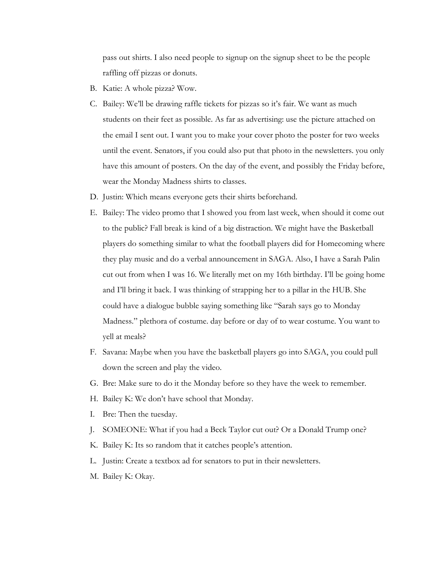pass out shirts. I also need people to signup on the signup sheet to be the people raffling off pizzas or donuts.

- B. Katie: A whole pizza? Wow.
- C. Bailey: We'll be drawing raffle tickets for pizzas so it's fair. We want as much students on their feet as possible. As far as advertising: use the picture attached on the email I sent out. I want you to make your cover photo the poster for two weeks until the event. Senators, if you could also put that photo in the newsletters. you only have this amount of posters. On the day of the event, and possibly the Friday before, wear the Monday Madness shirts to classes.
- D. Justin: Which means everyone gets their shirts beforehand.
- E. Bailey: The video promo that I showed you from last week, when should it come out to the public? Fall break is kind of a big distraction. We might have the Basketball players do something similar to what the football players did for Homecoming where they play music and do a verbal announcement in SAGA. Also, I have a Sarah Palin cut out from when I was 16. We literally met on my 16th birthday. I'll be going home and I'll bring it back. I was thinking of strapping her to a pillar in the HUB. She could have a dialogue bubble saying something like "Sarah says go to Monday Madness." plethora of costume. day before or day of to wear costume. You want to yell at meals?
- F. Savana: Maybe when you have the basketball players go into SAGA, you could pull down the screen and play the video.
- G. Bre: Make sure to do it the Monday before so they have the week to remember.
- H. Bailey K: We don't have school that Monday.
- I. Bre: Then the tuesday.
- J. SOMEONE: What if you had a Beck Taylor cut out? Or a Donald Trump one?
- K. Bailey K: Its so random that it catches people's attention.
- L. Justin: Create a textbox ad for senators to put in their newsletters.
- M. Bailey K: Okay.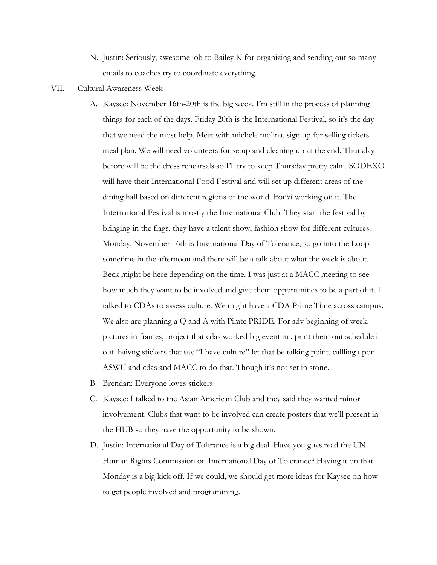- N. Justin: Seriously, awesome job to Bailey K for organizing and sending out so many emails to coaches try to coordinate everything.
- VII. Cultural Awareness Week
	- A. Kaysee: November 16th-20th is the big week. I'm still in the process of planning things for each of the days. Friday 20th is the International Festival, so it's the day that we need the most help. Meet with michele molina. sign up for selling tickets. meal plan. We will need volunteers for setup and cleaning up at the end. Thursday before will be the dress rehearsals so I'll try to keep Thursday pretty calm. SODEXO will have their International Food Festival and will set up different areas of the dining hall based on different regions of the world. Fonzi working on it. The International Festival is mostly the International Club. They start the festival by bringing in the flags, they have a talent show, fashion show for different cultures. Monday, November 16th is International Day of Tolerance, so go into the Loop sometime in the afternoon and there will be a talk about what the week is about. Beck might be here depending on the time. I was just at a MACC meeting to see how much they want to be involved and give them opportunities to be a part of it. I talked to CDAs to assess culture. We might have a CDA Prime Time across campus. We also are planning a Q and A with Pirate PRIDE. For adv beginning of week. pictures in frames, project that cdas worked big event in . print them out schedule it out. haivng stickers that say "I have culture" let that be talking point. callling upon ASWU and cdas and MACC to do that. Though it's not set in stone.
	- B. Brendan: Everyone loves stickers
	- C. Kaysee: I talked to the Asian American Club and they said they wanted minor involvement. Clubs that want to be involved can create posters that we'll present in the HUB so they have the opportunity to be shown.
	- D. Justin: International Day of Tolerance is a big deal. Have you guys read the UN Human Rights Commission on International Day of Tolerance? Having it on that Monday is a big kick off. If we could, we should get more ideas for Kaysee on how to get people involved and programming.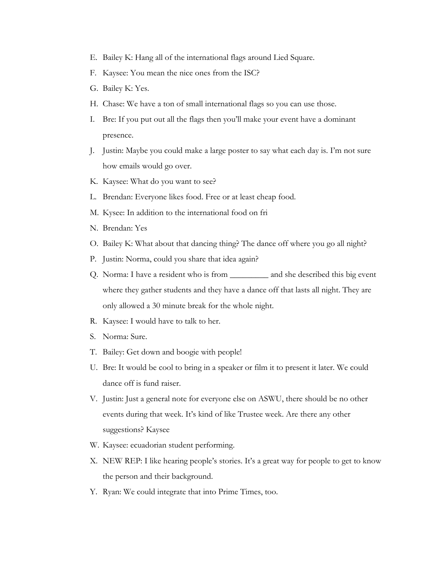- E. Bailey K: Hang all of the international flags around Lied Square.
- F. Kaysee: You mean the nice ones from the ISC?
- G. Bailey K: Yes.
- H. Chase: We have a ton of small international flags so you can use those.
- I. Bre: If you put out all the flags then you'll make your event have a dominant presence.
- J. Justin: Maybe you could make a large poster to say what each day is. I'm not sure how emails would go over.
- K. Kaysee: What do you want to see?
- L. Brendan: Everyone likes food. Free or at least cheap food.
- M. Kysee: In addition to the international food on fri
- N. Brendan: Yes
- O. Bailey K: What about that dancing thing? The dance off where you go all night?
- P. Justin: Norma, could you share that idea again?
- Q. Norma: I have a resident who is from \_\_\_\_\_\_\_\_\_ and she described this big event where they gather students and they have a dance off that lasts all night. They are only allowed a 30 minute break for the whole night.
- R. Kaysee: I would have to talk to her.
- S. Norma: Sure.
- T. Bailey: Get down and boogie with people!
- U. Bre: It would be cool to bring in a speaker or film it to present it later. We could dance off is fund raiser.
- V. Justin: Just a general note for everyone else on ASWU, there should be no other events during that week. It's kind of like Trustee week. Are there any other suggestions? Kaysee
- W. Kaysee: ecuadorian student performing.
- X. NEW REP: I like hearing people's stories. It's a great way for people to get to know the person and their background.
- Y. Ryan: We could integrate that into Prime Times, too.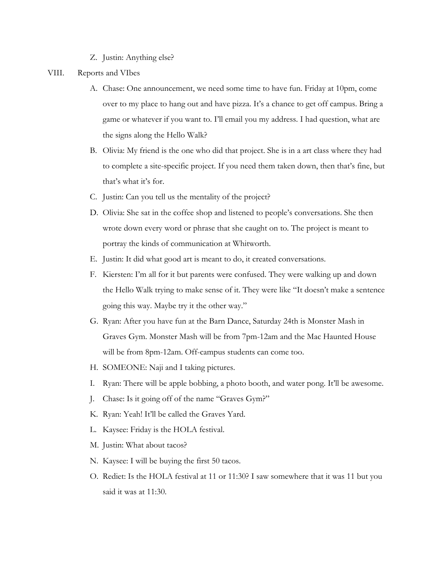- Z. Justin: Anything else?
- VIII. Reports and VIbes
	- A. Chase: One announcement, we need some time to have fun. Friday at 10pm, come over to my place to hang out and have pizza. It's a chance to get off campus. Bring a game or whatever if you want to. I'll email you my address. I had question, what are the signs along the Hello Walk?
	- B. Olivia: My friend is the one who did that project. She is in a art class where they had to complete a site-specific project. If you need them taken down, then that's fine, but that's what it's for.
	- C. Justin: Can you tell us the mentality of the project?
	- D. Olivia: She sat in the coffee shop and listened to people's conversations. She then wrote down every word or phrase that she caught on to. The project is meant to portray the kinds of communication at Whitworth.
	- E. Justin: It did what good art is meant to do, it created conversations.
	- F. Kiersten: I'm all for it but parents were confused. They were walking up and down the Hello Walk trying to make sense of it. They were like "It doesn't make a sentence going this way. Maybe try it the other way."
	- G. Ryan: After you have fun at the Barn Dance, Saturday 24th is Monster Mash in Graves Gym. Monster Mash will be from 7pm-12am and the Mac Haunted House will be from 8pm-12am. Off-campus students can come too.
	- H. SOMEONE: Naji and I taking pictures.
	- I. Ryan: There will be apple bobbing, a photo booth, and water pong. It'll be awesome.
	- J. Chase: Is it going off of the name "Graves Gym?"
	- K. Ryan: Yeah! It'll be called the Graves Yard.
	- L. Kaysee: Friday is the HOLA festival.
	- M. Justin: What about tacos?
	- N. Kaysee: I will be buying the first 50 tacos.
	- O. Rediet: Is the HOLA festival at 11 or 11:30? I saw somewhere that it was 11 but you said it was at 11:30.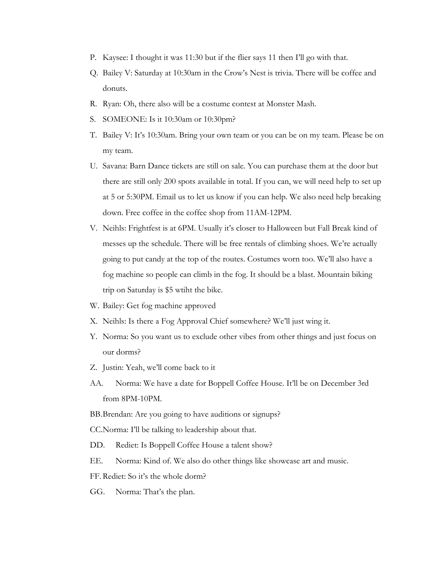- P. Kaysee: I thought it was 11:30 but if the flier says 11 then I'll go with that.
- Q. Bailey V: Saturday at 10:30am in the Crow's Nest is trivia. There will be coffee and donuts.
- R. Ryan: Oh, there also will be a costume contest at Monster Mash.
- S. SOMEONE: Is it 10:30am or 10:30pm?
- T. Bailey V: It's 10:30am. Bring your own team or you can be on my team. Please be on my team.
- U. Savana: Barn Dance tickets are still on sale. You can purchase them at the door but there are still only 200 spots available in total. If you can, we will need help to set up at 5 or 5:30PM. Email us to let us know if you can help. We also need help breaking down. Free coffee in the coffee shop from 11AM-12PM.
- V. Neihls: Frightfest is at 6PM. Usually it's closer to Halloween but Fall Break kind of messes up the schedule. There will be free rentals of climbing shoes. We're actually going to put candy at the top of the routes. Costumes worn too. We'll also have a fog machine so people can climb in the fog. It should be a blast. Mountain biking trip on Saturday is \$5 wtiht the bike.
- W. Bailey: Get fog machine approved
- X. Neihls: Is there a Fog Approval Chief somewhere? We'll just wing it.
- Y. Norma: So you want us to exclude other vibes from other things and just focus on our dorms?
- Z. Justin: Yeah, we'll come back to it
- AA. Norma: We have a date for Boppell Coffee House. It'll be on December 3rd from 8PM-10PM.
- BB.Brendan: Are you going to have auditions or signups?

CC.Norma: I'll be talking to leadership about that.

- DD. Rediet: Is Boppell Coffee House a talent show?
- EE. Norma: Kind of. We also do other things like showcase art and music.
- FF. Rediet: So it's the whole dorm?
- GG. Norma: That's the plan.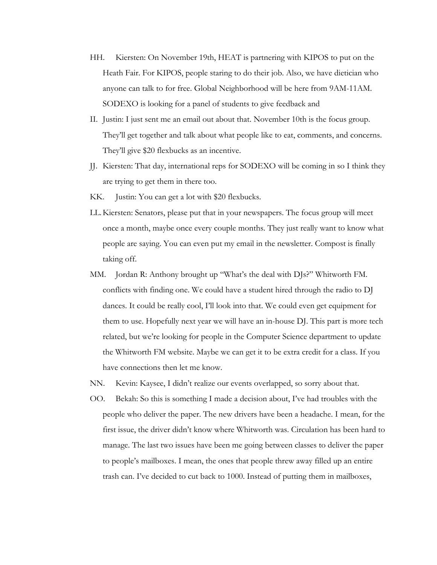- HH. Kiersten: On November 19th, HEAT is partnering with KIPOS to put on the Heath Fair. For KIPOS, people staring to do their job. Also, we have dietician who anyone can talk to for free. Global Neighborhood will be here from 9AM-11AM. SODEXO is looking for a panel of students to give feedback and
- II. Justin: I just sent me an email out about that. November 10th is the focus group. They'll get together and talk about what people like to eat, comments, and concerns. They'll give \$20 flexbucks as an incentive.
- JJ. Kiersten: That day, international reps for SODEXO will be coming in so I think they are trying to get them in there too.
- KK. Justin: You can get a lot with \$20 flexbucks.
- LL.Kiersten: Senators, please put that in your newspapers. The focus group will meet once a month, maybe once every couple months. They just really want to know what people are saying. You can even put my email in the newsletter. Compost is finally taking off.
- MM. Jordan R: Anthony brought up "What's the deal with DJs?" Whitworth FM. conflicts with finding one. We could have a student hired through the radio to DJ dances. It could be really cool, I'll look into that. We could even get equipment for them to use. Hopefully next year we will have an in-house DJ. This part is more tech related, but we're looking for people in the Computer Science department to update the Whitworth FM website. Maybe we can get it to be extra credit for a class. If you have connections then let me know.
- NN. Kevin: Kaysee, I didn't realize our events overlapped, so sorry about that.
- OO. Bekah: So this is something I made a decision about, I've had troubles with the people who deliver the paper. The new drivers have been a headache. I mean, for the first issue, the driver didn't know where Whitworth was. Circulation has been hard to manage. The last two issues have been me going between classes to deliver the paper to people's mailboxes. I mean, the ones that people threw away filled up an entire trash can. I've decided to cut back to 1000. Instead of putting them in mailboxes,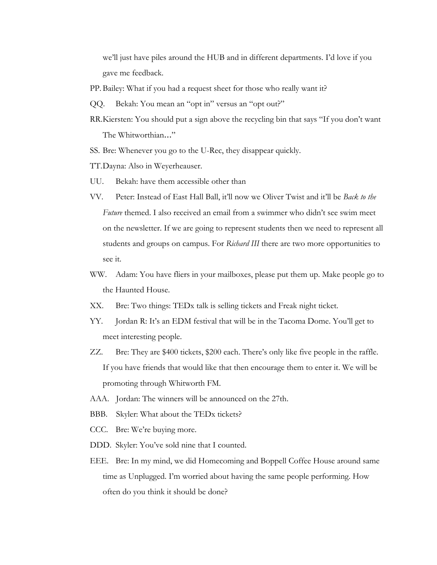we'll just have piles around the HUB and in different departments. I'd love if you gave me feedback.

- PP. Bailey: What if you had a request sheet for those who really want it?
- QQ. Bekah: You mean an "opt in" versus an "opt out?"
- RR.Kiersten: You should put a sign above the recycling bin that says "If you don't want The Whitworthian…"
- SS. Bre: Whenever you go to the U-Rec, they disappear quickly.
- TT.Dayna: Also in Weyerheauser.
- UU. Bekah: have them accessible other than
- VV. Peter: Instead of East Hall Ball, it'll now we Oliver Twist and it'll be *Back to the Future* themed. I also received an email from a swimmer who didn't see swim meet on the newsletter. If we are going to represent students then we need to represent all students and groups on campus. For *Richard III* there are two more opportunities to see it.
- WW. Adam: You have fliers in your mailboxes, please put them up. Make people go to the Haunted House.
- XX. Bre: Two things: TEDx talk is selling tickets and Freak night ticket.
- YY. Jordan R: It's an EDM festival that will be in the Tacoma Dome. You'll get to meet interesting people.
- ZZ. Bre: They are \$400 tickets, \$200 each. There's only like five people in the raffle. If you have friends that would like that then encourage them to enter it. We will be promoting through Whitworth FM.
- AAA. Jordan: The winners will be announced on the 27th.
- BBB. Skyler: What about the TEDx tickets?
- CCC. Bre: We're buying more.
- DDD. Skyler: You've sold nine that I counted.
- EEE. Bre: In my mind, we did Homecoming and Boppell Coffee House around same time as Unplugged. I'm worried about having the same people performing. How often do you think it should be done?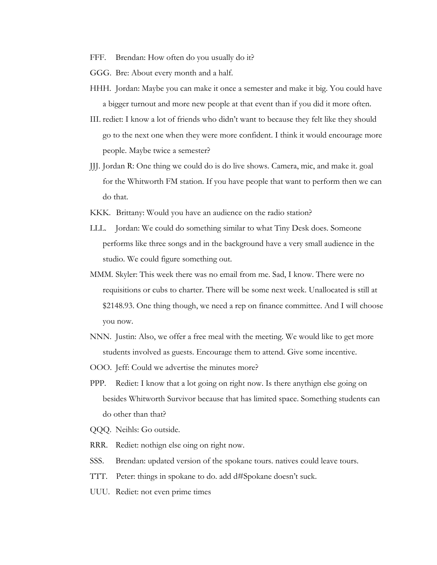- FFF. Brendan: How often do you usually do it?
- GGG. Bre: About every month and a half.
- HHH. Jordan: Maybe you can make it once a semester and make it big. You could have a bigger turnout and more new people at that event than if you did it more often.
- III. rediet: I know a lot of friends who didn't want to because they felt like they should go to the next one when they were more confident. I think it would encourage more people. Maybe twice a semester?
- JJJ. Jordan R: One thing we could do is do live shows. Camera, mic, and make it. goal for the Whitworth FM station. If you have people that want to perform then we can do that.
- KKK. Brittany: Would you have an audience on the radio station?
- LLL. Jordan: We could do something similar to what Tiny Desk does. Someone performs like three songs and in the background have a very small audience in the studio. We could figure something out.
- MMM. Skyler: This week there was no email from me. Sad, I know. There were no requisitions or cubs to charter. There will be some next week. Unallocated is still at \$2148.93. One thing though, we need a rep on finance committee. And I will choose you now.
- NNN. Justin: Also, we offer a free meal with the meeting. We would like to get more students involved as guests. Encourage them to attend. Give some incentive.
- OOO. Jeff: Could we advertise the minutes more?
- PPP. Rediet: I know that a lot going on right now. Is there anythign else going on besides Whitworth Survivor because that has limited space. Something students can do other than that?
- QQQ. Neihls: Go outside.
- RRR. Rediet: nothign else oing on right now.
- SSS. Brendan: updated version of the spokane tours. natives could leave tours.
- TTT. Peter: things in spokane to do. add d#Spokane doesn't suck.
- UUU. Rediet: not even prime times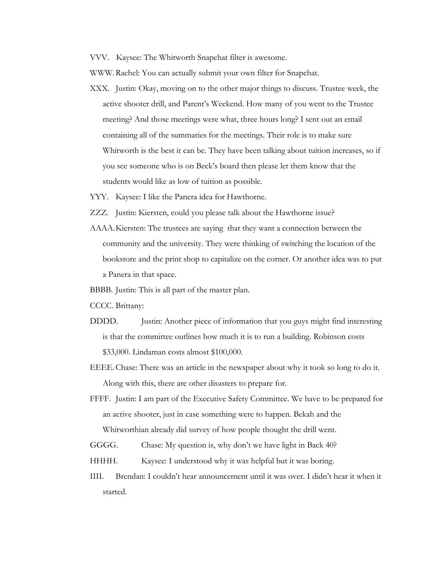VVV. Kaysee: The Whitworth Snapchat filter is awesome.

WWW.Rachel: You can actually submit your own filter for Snapchat.

- XXX. Justin: Okay, moving on to the other major things to discuss. Trustee week, the active shooter drill, and Parent's Weekend. How many of you went to the Trustee meeting? And those meetings were what, three hours long? I sent out an email containing all of the summaries for the meetings. Their role is to make sure Whitworth is the best it can be. They have been talking about tuition increases, so if you see someone who is on Beck's board then please let them know that the students would like as low of tuition as possible.
- YYY. Kaysee: I like the Panera idea for Hawthorne.
- ZZZ. Justin: Kiersten, could you please talk about the Hawthorne issue?
- AAAA.Kiersten: The trustees are saying that they want a connection between the community and the university. They were thinking of switching the location of the bookstore and the print shop to capitalize on the corner. Or another idea was to put a Panera in that space.
- BBBB. Justin: This is all part of the master plan.
- CCCC. Brittany:
- DDDD. Justin: Another piece of information that you guys might find interesting is that the committee outlines how much it is to run a building. Robinson costs \$33,000. Lindaman costs almost \$100,000.
- EEEE.Chase: There was an article in the newspaper about why it took so long to do it. Along with this, there are other disasters to prepare for.
- FFFF. Justin: I am part of the Executive Safety Committee. We have to be prepared for an active shooter, just in case something were to happen. Bekah and the Whitworthian already did survey of how people thought the drill went.
- GGGG. Chase: My question is, why don't we have light in Back 40?
- HHHH. Kaysee: I understood why it was helpful but it was boring.
- IIII. Brendan: I couldn't hear announcement until it was over. I didn't hear it when it started.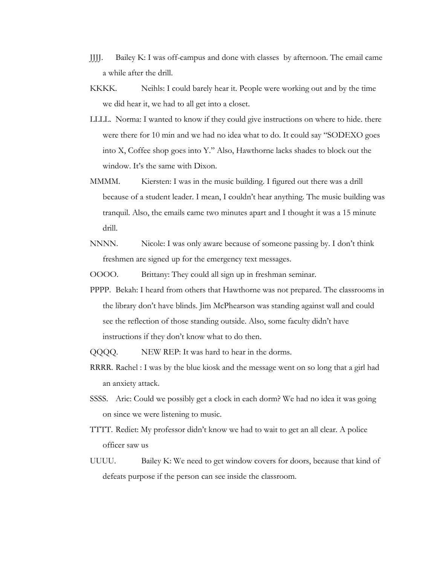- JJJJ. Bailey K: I was off-campus and done with classes by afternoon. The email came a while after the drill.
- KKKK. Neihls: I could barely hear it. People were working out and by the time we did hear it, we had to all get into a closet.
- LLLL. Norma: I wanted to know if they could give instructions on where to hide. there were there for 10 min and we had no idea what to do. It could say "SODEXO goes into X, Coffee shop goes into Y." Also, Hawthorne lacks shades to block out the window. It's the same with Dixon.
- MMMM. Kiersten: I was in the music building. I figured out there was a drill because of a student leader. I mean, I couldn't hear anything. The music building was tranquil. Also, the emails came two minutes apart and I thought it was a 15 minute drill.
- NNNN. Nicole: I was only aware because of someone passing by. I don't think freshmen are signed up for the emergency text messages.

OOOO. Brittany: They could all sign up in freshman seminar.

- PPPP. Bekah: I heard from others that Hawthorne was not prepared. The classrooms in the library don't have blinds. Jim McPhearson was standing against wall and could see the reflection of those standing outside. Also, some faculty didn't have instructions if they don't know what to do then.
- QQQQ. NEW REP: It was hard to hear in the dorms.
- RRRR. Rachel : I was by the blue kiosk and the message went on so long that a girl had an anxiety attack.
- SSSS. Aric: Could we possibly get a clock in each dorm? We had no idea it was going on since we were listening to music.
- TTTT. Rediet: My professor didn't know we had to wait to get an all clear. A police officer saw us
- UUUU. Bailey K: We need to get window covers for doors, because that kind of defeats purpose if the person can see inside the classroom.